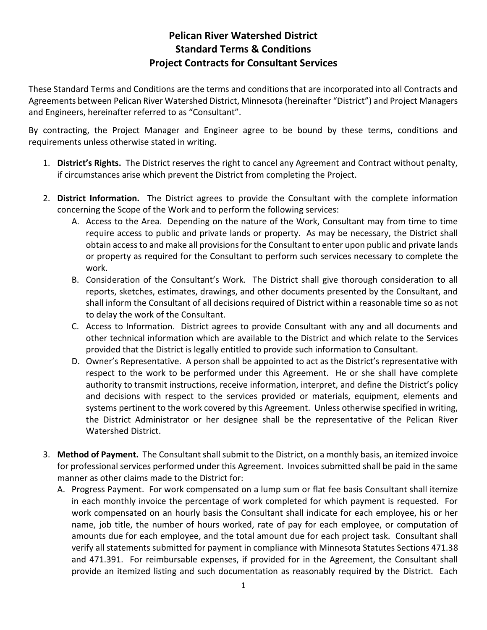## **Pelican River Watershed District Standard Terms & Conditions Project Contracts for Consultant Services**

These Standard Terms and Conditions are the terms and conditions that are incorporated into all Contracts and Agreements between Pelican River Watershed District, Minnesota (hereinafter "District") and Project Managers and Engineers, hereinafter referred to as "Consultant".

By contracting, the Project Manager and Engineer agree to be bound by these terms, conditions and requirements unless otherwise stated in writing.

- 1. **District's Rights.** The District reserves the right to cancel any Agreement and Contract without penalty, if circumstances arise which prevent the District from completing the Project.
- 2. **District Information.** The District agrees to provide the Consultant with the complete information concerning the Scope of the Work and to perform the following services:
	- A. Access to the Area. Depending on the nature of the Work, Consultant may from time to time require access to public and private lands or property. As may be necessary, the District shall obtain access to and make all provisions for the Consultant to enter upon public and private lands or property as required for the Consultant to perform such services necessary to complete the work.
	- B. Consideration of the Consultant's Work. The District shall give thorough consideration to all reports, sketches, estimates, drawings, and other documents presented by the Consultant, and shall inform the Consultant of all decisions required of District within a reasonable time so as not to delay the work of the Consultant.
	- C. Access to Information. District agrees to provide Consultant with any and all documents and other technical information which are available to the District and which relate to the Services provided that the District is legally entitled to provide such information to Consultant.
	- D. Owner's Representative. A person shall be appointed to act as the District's representative with respect to the work to be performed under this Agreement. He or she shall have complete authority to transmit instructions, receive information, interpret, and define the District's policy and decisions with respect to the services provided or materials, equipment, elements and systems pertinent to the work covered by this Agreement. Unless otherwise specified in writing, the District Administrator or her designee shall be the representative of the Pelican River Watershed District.
- 3. **Method of Payment.** The Consultant shall submit to the District, on a monthly basis, an itemized invoice for professional services performed under this Agreement. Invoices submitted shall be paid in the same manner as other claims made to the District for:
	- A. Progress Payment. For work compensated on a lump sum or flat fee basis Consultant shall itemize in each monthly invoice the percentage of work completed for which payment is requested. For work compensated on an hourly basis the Consultant shall indicate for each employee, his or her name, job title, the number of hours worked, rate of pay for each employee, or computation of amounts due for each employee, and the total amount due for each project task. Consultant shall verify all statements submitted for payment in compliance with Minnesota Statutes Sections 471.38 and 471.391. For reimbursable expenses, if provided for in the Agreement, the Consultant shall provide an itemized listing and such documentation as reasonably required by the District. Each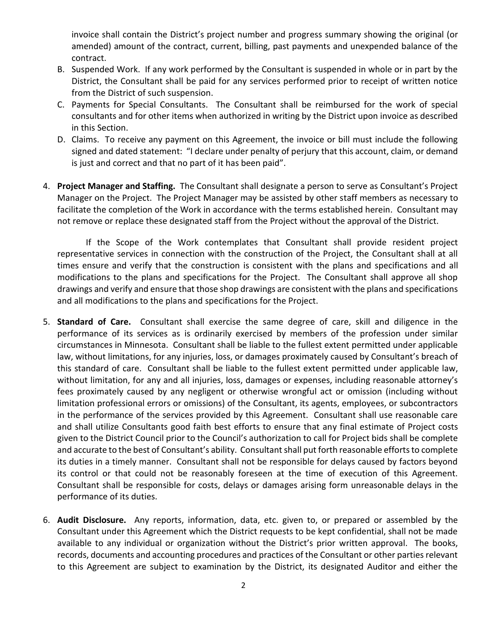invoice shall contain the District's project number and progress summary showing the original (or amended) amount of the contract, current, billing, past payments and unexpended balance of the contract.

- B. Suspended Work. If any work performed by the Consultant is suspended in whole or in part by the District, the Consultant shall be paid for any services performed prior to receipt of written notice from the District of such suspension.
- C. Payments for Special Consultants. The Consultant shall be reimbursed for the work of special consultants and for other items when authorized in writing by the District upon invoice as described in this Section.
- D. Claims. To receive any payment on this Agreement, the invoice or bill must include the following signed and dated statement: "I declare under penalty of perjury that this account, claim, or demand is just and correct and that no part of it has been paid".
- 4. **Project Manager and Staffing.** The Consultant shall designate a person to serve as Consultant's Project Manager on the Project. The Project Manager may be assisted by other staff members as necessary to facilitate the completion of the Work in accordance with the terms established herein. Consultant may not remove or replace these designated staff from the Project without the approval of the District.

If the Scope of the Work contemplates that Consultant shall provide resident project representative services in connection with the construction of the Project, the Consultant shall at all times ensure and verify that the construction is consistent with the plans and specifications and all modifications to the plans and specifications for the Project. The Consultant shall approve all shop drawings and verify and ensure that those shop drawings are consistent with the plans and specifications and all modifications to the plans and specifications for the Project.

- 5. **Standard of Care.** Consultant shall exercise the same degree of care, skill and diligence in the performance of its services as is ordinarily exercised by members of the profession under similar circumstances in Minnesota. Consultant shall be liable to the fullest extent permitted under applicable law, without limitations, for any injuries, loss, or damages proximately caused by Consultant's breach of this standard of care. Consultant shall be liable to the fullest extent permitted under applicable law, without limitation, for any and all injuries, loss, damages or expenses, including reasonable attorney's fees proximately caused by any negligent or otherwise wrongful act or omission (including without limitation professional errors or omissions) of the Consultant, its agents, employees, or subcontractors in the performance of the services provided by this Agreement. Consultant shall use reasonable care and shall utilize Consultants good faith best efforts to ensure that any final estimate of Project costs given to the District Council prior to the Council's authorization to call for Project bids shall be complete and accurate to the best of Consultant's ability. Consultant shall put forth reasonable efforts to complete its duties in a timely manner. Consultant shall not be responsible for delays caused by factors beyond its control or that could not be reasonably foreseen at the time of execution of this Agreement. Consultant shall be responsible for costs, delays or damages arising form unreasonable delays in the performance of its duties.
- 6. **Audit Disclosure.** Any reports, information, data, etc. given to, or prepared or assembled by the Consultant under this Agreement which the District requests to be kept confidential, shall not be made available to any individual or organization without the District's prior written approval. The books, records, documents and accounting procedures and practices of the Consultant or other parties relevant to this Agreement are subject to examination by the District, its designated Auditor and either the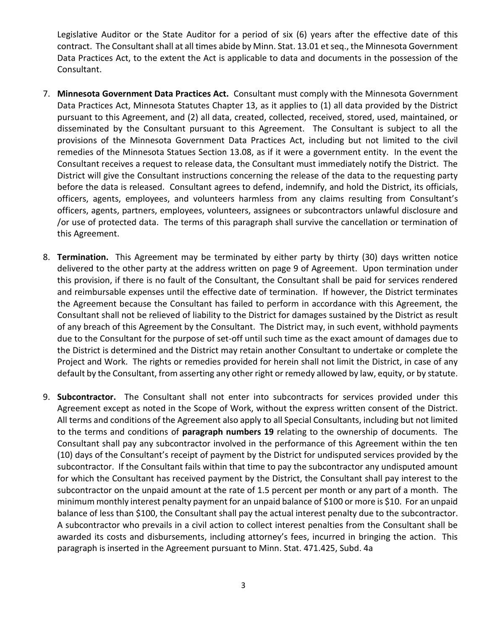Legislative Auditor or the State Auditor for a period of six (6) years after the effective date of this contract. The Consultant shall at all times abide by Minn. Stat. 13.01 et seq., the Minnesota Government Data Practices Act, to the extent the Act is applicable to data and documents in the possession of the Consultant.

- 7. **Minnesota Government Data Practices Act.** Consultant must comply with the Minnesota Government Data Practices Act, Minnesota Statutes Chapter 13, as it applies to (1) all data provided by the District pursuant to this Agreement, and (2) all data, created, collected, received, stored, used, maintained, or disseminated by the Consultant pursuant to this Agreement. The Consultant is subject to all the provisions of the Minnesota Government Data Practices Act, including but not limited to the civil remedies of the Minnesota Statues Section 13.08, as if it were a government entity. In the event the Consultant receives a request to release data, the Consultant must immediately notify the District. The District will give the Consultant instructions concerning the release of the data to the requesting party before the data is released. Consultant agrees to defend, indemnify, and hold the District, its officials, officers, agents, employees, and volunteers harmless from any claims resulting from Consultant's officers, agents, partners, employees, volunteers, assignees or subcontractors unlawful disclosure and /or use of protected data. The terms of this paragraph shall survive the cancellation or termination of this Agreement.
- 8. **Termination.** This Agreement may be terminated by either party by thirty (30) days written notice delivered to the other party at the address written on page 9 of Agreement. Upon termination under this provision, if there is no fault of the Consultant, the Consultant shall be paid for services rendered and reimbursable expenses until the effective date of termination. If however, the District terminates the Agreement because the Consultant has failed to perform in accordance with this Agreement, the Consultant shall not be relieved of liability to the District for damages sustained by the District as result of any breach of this Agreement by the Consultant. The District may, in such event, withhold payments due to the Consultant for the purpose of set-off until such time as the exact amount of damages due to the District is determined and the District may retain another Consultant to undertake or complete the Project and Work. The rights or remedies provided for herein shall not limit the District, in case of any default by the Consultant, from asserting any other right or remedy allowed by law, equity, or by statute.
- 9. **Subcontractor.** The Consultant shall not enter into subcontracts for services provided under this Agreement except as noted in the Scope of Work, without the express written consent of the District. All terms and conditions of the Agreement also apply to all Special Consultants, including but not limited to the terms and conditions of **paragraph numbers 19** relating to the ownership of documents. The Consultant shall pay any subcontractor involved in the performance of this Agreement within the ten (10) days of the Consultant's receipt of payment by the District for undisputed services provided by the subcontractor. If the Consultant fails within that time to pay the subcontractor any undisputed amount for which the Consultant has received payment by the District, the Consultant shall pay interest to the subcontractor on the unpaid amount at the rate of 1.5 percent per month or any part of a month. The minimum monthly interest penalty payment for an unpaid balance of \$100 or more is \$10. For an unpaid balance of less than \$100, the Consultant shall pay the actual interest penalty due to the subcontractor. A subcontractor who prevails in a civil action to collect interest penalties from the Consultant shall be awarded its costs and disbursements, including attorney's fees, incurred in bringing the action. This paragraph is inserted in the Agreement pursuant to Minn. Stat. 471.425, Subd. 4a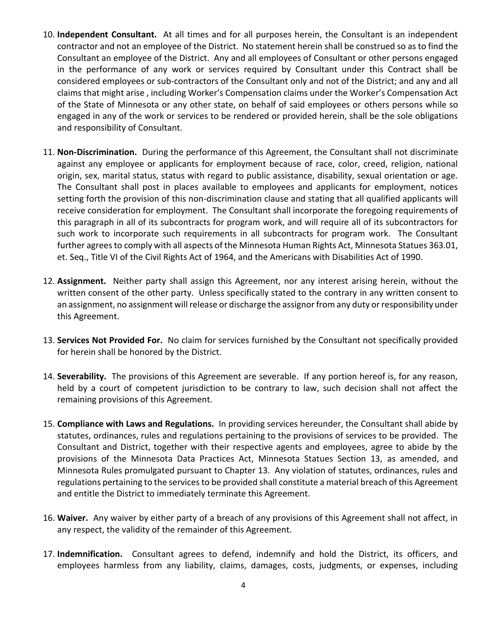- 10. **Independent Consultant.** At all times and for all purposes herein, the Consultant is an independent contractor and not an employee of the District. No statement herein shall be construed so as to find the Consultant an employee of the District. Any and all employees of Consultant or other persons engaged in the performance of any work or services required by Consultant under this Contract shall be considered employees or sub-contractors of the Consultant only and not of the District; and any and all claims that might arise , including Worker's Compensation claims under the Worker's Compensation Act of the State of Minnesota or any other state, on behalf of said employees or others persons while so engaged in any of the work or services to be rendered or provided herein, shall be the sole obligations and responsibility of Consultant.
- 11. **Non-Discrimination.** During the performance of this Agreement, the Consultant shall not discriminate against any employee or applicants for employment because of race, color, creed, religion, national origin, sex, marital status, status with regard to public assistance, disability, sexual orientation or age. The Consultant shall post in places available to employees and applicants for employment, notices setting forth the provision of this non-discrimination clause and stating that all qualified applicants will receive consideration for employment. The Consultant shall incorporate the foregoing requirements of this paragraph in all of its subcontracts for program work, and will require all of its subcontractors for such work to incorporate such requirements in all subcontracts for program work. The Consultant further agrees to comply with all aspects of the Minnesota Human Rights Act, Minnesota Statues 363.01, et. Seq., Title VI of the Civil Rights Act of 1964, and the Americans with Disabilities Act of 1990.
- 12. **Assignment.** Neither party shall assign this Agreement, nor any interest arising herein, without the written consent of the other party. Unless specifically stated to the contrary in any written consent to an assignment, no assignment will release or discharge the assignor from any duty or responsibility under this Agreement.
- 13. **Services Not Provided For.** No claim for services furnished by the Consultant not specifically provided for herein shall be honored by the District.
- 14. **Severability.** The provisions of this Agreement are severable. If any portion hereof is, for any reason, held by a court of competent jurisdiction to be contrary to law, such decision shall not affect the remaining provisions of this Agreement.
- 15. **Compliance with Laws and Regulations.** In providing services hereunder, the Consultant shall abide by statutes, ordinances, rules and regulations pertaining to the provisions of services to be provided. The Consultant and District, together with their respective agents and employees, agree to abide by the provisions of the Minnesota Data Practices Act, Minnesota Statues Section 13, as amended, and Minnesota Rules promulgated pursuant to Chapter 13. Any violation of statutes, ordinances, rules and regulations pertaining to the services to be provided shall constitute a material breach of this Agreement and entitle the District to immediately terminate this Agreement.
- 16. **Waiver.** Any waiver by either party of a breach of any provisions of this Agreement shall not affect, in any respect, the validity of the remainder of this Agreement.
- 17. **Indemnification.** Consultant agrees to defend, indemnify and hold the District, its officers, and employees harmless from any liability, claims, damages, costs, judgments, or expenses, including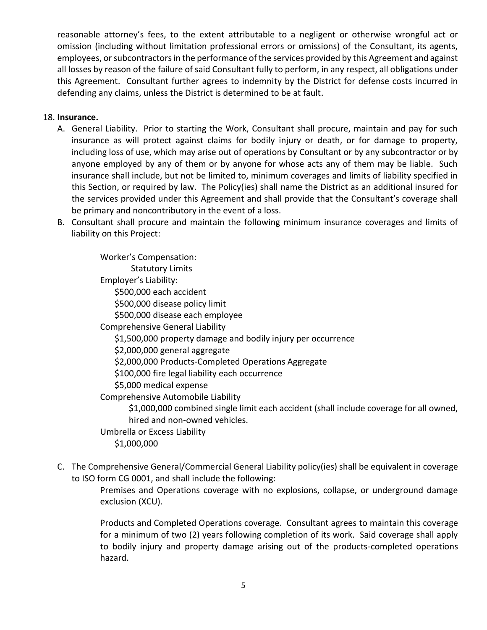reasonable attorney's fees, to the extent attributable to a negligent or otherwise wrongful act or omission (including without limitation professional errors or omissions) of the Consultant, its agents, employees, or subcontractors in the performance of the services provided by this Agreement and against all losses by reason of the failure of said Consultant fully to perform, in any respect, all obligations under this Agreement. Consultant further agrees to indemnity by the District for defense costs incurred in defending any claims, unless the District is determined to be at fault.

## 18. **Insurance.**

- A. General Liability. Prior to starting the Work, Consultant shall procure, maintain and pay for such insurance as will protect against claims for bodily injury or death, or for damage to property, including loss of use, which may arise out of operations by Consultant or by any subcontractor or by anyone employed by any of them or by anyone for whose acts any of them may be liable. Such insurance shall include, but not be limited to, minimum coverages and limits of liability specified in this Section, or required by law. The Policy(ies) shall name the District as an additional insured for the services provided under this Agreement and shall provide that the Consultant's coverage shall be primary and noncontributory in the event of a loss.
- B. Consultant shall procure and maintain the following minimum insurance coverages and limits of liability on this Project:

Worker's Compensation: Statutory Limits Employer's Liability: \$500,000 each accident \$500,000 disease policy limit \$500,000 disease each employee Comprehensive General Liability \$1,500,000 property damage and bodily injury per occurrence \$2,000,000 general aggregate \$2,000,000 Products-Completed Operations Aggregate \$100,000 fire legal liability each occurrence \$5,000 medical expense Comprehensive Automobile Liability \$1,000,000 combined single limit each accident (shall include coverage for all owned, hired and non-owned vehicles. Umbrella or Excess Liability

- \$1,000,000
- C. The Comprehensive General/Commercial General Liability policy(ies) shall be equivalent in coverage to ISO form CG 0001, and shall include the following:

Premises and Operations coverage with no explosions, collapse, or underground damage exclusion (XCU).

Products and Completed Operations coverage. Consultant agrees to maintain this coverage for a minimum of two (2) years following completion of its work. Said coverage shall apply to bodily injury and property damage arising out of the products-completed operations hazard.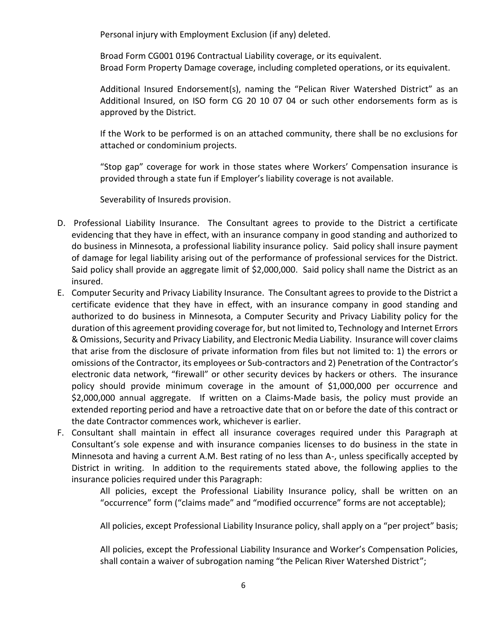Personal injury with Employment Exclusion (if any) deleted.

Broad Form CG001 0196 Contractual Liability coverage, or its equivalent. Broad Form Property Damage coverage, including completed operations, or its equivalent.

Additional Insured Endorsement(s), naming the "Pelican River Watershed District" as an Additional Insured, on ISO form CG 20 10 07 04 or such other endorsements form as is approved by the District.

If the Work to be performed is on an attached community, there shall be no exclusions for attached or condominium projects.

"Stop gap" coverage for work in those states where Workers' Compensation insurance is provided through a state fun if Employer's liability coverage is not available.

Severability of Insureds provision.

- D. Professional Liability Insurance. The Consultant agrees to provide to the District a certificate evidencing that they have in effect, with an insurance company in good standing and authorized to do business in Minnesota, a professional liability insurance policy. Said policy shall insure payment of damage for legal liability arising out of the performance of professional services for the District. Said policy shall provide an aggregate limit of \$2,000,000. Said policy shall name the District as an insured.
- E. Computer Security and Privacy Liability Insurance. The Consultant agrees to provide to the District a certificate evidence that they have in effect, with an insurance company in good standing and authorized to do business in Minnesota, a Computer Security and Privacy Liability policy for the duration of this agreement providing coverage for, but not limited to, Technology and Internet Errors & Omissions, Security and Privacy Liability, and Electronic Media Liability. Insurance will cover claims that arise from the disclosure of private information from files but not limited to: 1) the errors or omissions of the Contractor, its employees or Sub-contractors and 2) Penetration of the Contractor's electronic data network, "firewall" or other security devices by hackers or others. The insurance policy should provide minimum coverage in the amount of \$1,000,000 per occurrence and \$2,000,000 annual aggregate. If written on a Claims-Made basis, the policy must provide an extended reporting period and have a retroactive date that on or before the date of this contract or the date Contractor commences work, whichever is earlier.
- F. Consultant shall maintain in effect all insurance coverages required under this Paragraph at Consultant's sole expense and with insurance companies licenses to do business in the state in Minnesota and having a current A.M. Best rating of no less than A-, unless specifically accepted by District in writing. In addition to the requirements stated above, the following applies to the insurance policies required under this Paragraph:

All policies, except the Professional Liability Insurance policy, shall be written on an "occurrence" form ("claims made" and "modified occurrence" forms are not acceptable);

All policies, except Professional Liability Insurance policy, shall apply on a "per project" basis;

All policies, except the Professional Liability Insurance and Worker's Compensation Policies, shall contain a waiver of subrogation naming "the Pelican River Watershed District";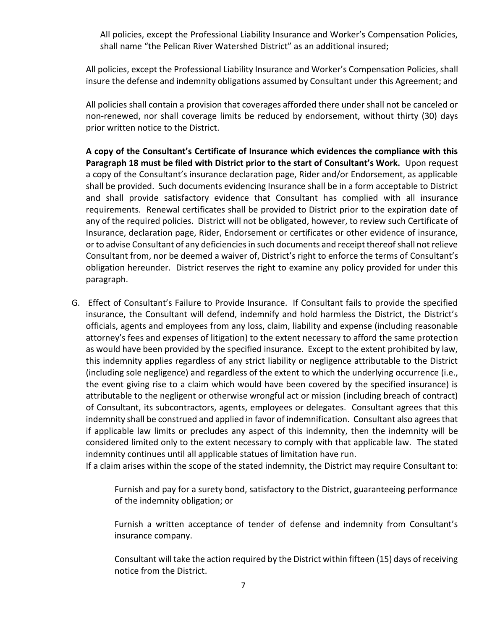All policies, except the Professional Liability Insurance and Worker's Compensation Policies, shall name "the Pelican River Watershed District" as an additional insured;

All policies, except the Professional Liability Insurance and Worker's Compensation Policies, shall insure the defense and indemnity obligations assumed by Consultant under this Agreement; and

All policies shall contain a provision that coverages afforded there under shall not be canceled or non-renewed, nor shall coverage limits be reduced by endorsement, without thirty (30) days prior written notice to the District.

**A copy of the Consultant's Certificate of Insurance which evidences the compliance with this Paragraph 18 must be filed with District prior to the start of Consultant's Work.** Upon request a copy of the Consultant's insurance declaration page, Rider and/or Endorsement, as applicable shall be provided. Such documents evidencing Insurance shall be in a form acceptable to District and shall provide satisfactory evidence that Consultant has complied with all insurance requirements. Renewal certificates shall be provided to District prior to the expiration date of any of the required policies. District will not be obligated, however, to review such Certificate of Insurance, declaration page, Rider, Endorsement or certificates or other evidence of insurance, or to advise Consultant of any deficiencies in such documents and receipt thereof shall not relieve Consultant from, nor be deemed a waiver of, District's right to enforce the terms of Consultant's obligation hereunder. District reserves the right to examine any policy provided for under this paragraph.

G. Effect of Consultant's Failure to Provide Insurance. If Consultant fails to provide the specified insurance, the Consultant will defend, indemnify and hold harmless the District, the District's officials, agents and employees from any loss, claim, liability and expense (including reasonable attorney's fees and expenses of litigation) to the extent necessary to afford the same protection as would have been provided by the specified insurance. Except to the extent prohibited by law, this indemnity applies regardless of any strict liability or negligence attributable to the District (including sole negligence) and regardless of the extent to which the underlying occurrence (i.e., the event giving rise to a claim which would have been covered by the specified insurance) is attributable to the negligent or otherwise wrongful act or mission (including breach of contract) of Consultant, its subcontractors, agents, employees or delegates. Consultant agrees that this indemnity shall be construed and applied in favor of indemnification. Consultant also agrees that if applicable law limits or precludes any aspect of this indemnity, then the indemnity will be considered limited only to the extent necessary to comply with that applicable law. The stated indemnity continues until all applicable statues of limitation have run.

If a claim arises within the scope of the stated indemnity, the District may require Consultant to:

Furnish and pay for a surety bond, satisfactory to the District, guaranteeing performance of the indemnity obligation; or

Furnish a written acceptance of tender of defense and indemnity from Consultant's insurance company.

Consultant will take the action required by the District within fifteen (15) days of receiving notice from the District.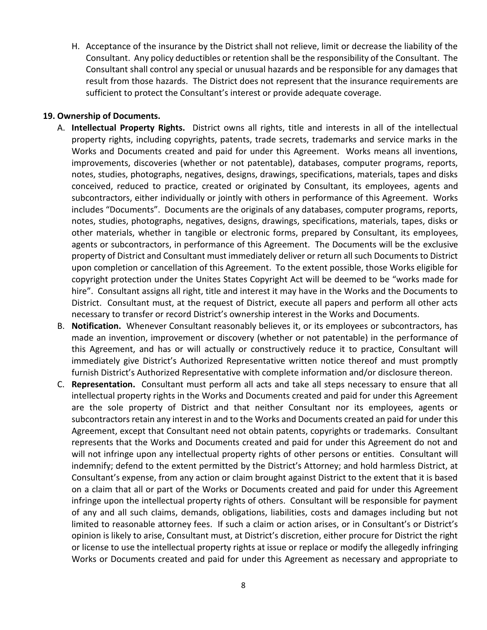H. Acceptance of the insurance by the District shall not relieve, limit or decrease the liability of the Consultant. Any policy deductibles or retention shall be the responsibility of the Consultant. The Consultant shall control any special or unusual hazards and be responsible for any damages that result from those hazards. The District does not represent that the insurance requirements are sufficient to protect the Consultant's interest or provide adequate coverage.

## **19. Ownership of Documents.**

- A. **Intellectual Property Rights.** District owns all rights, title and interests in all of the intellectual property rights, including copyrights, patents, trade secrets, trademarks and service marks in the Works and Documents created and paid for under this Agreement. Works means all inventions, improvements, discoveries (whether or not patentable), databases, computer programs, reports, notes, studies, photographs, negatives, designs, drawings, specifications, materials, tapes and disks conceived, reduced to practice, created or originated by Consultant, its employees, agents and subcontractors, either individually or jointly with others in performance of this Agreement. Works includes "Documents". Documents are the originals of any databases, computer programs, reports, notes, studies, photographs, negatives, designs, drawings, specifications, materials, tapes, disks or other materials, whether in tangible or electronic forms, prepared by Consultant, its employees, agents or subcontractors, in performance of this Agreement. The Documents will be the exclusive property of District and Consultant must immediately deliver or return all such Documents to District upon completion or cancellation of this Agreement. To the extent possible, those Works eligible for copyright protection under the Unites States Copyright Act will be deemed to be "works made for hire". Consultant assigns all right, title and interest it may have in the Works and the Documents to District. Consultant must, at the request of District, execute all papers and perform all other acts necessary to transfer or record District's ownership interest in the Works and Documents.
- B. **Notification.** Whenever Consultant reasonably believes it, or its employees or subcontractors, has made an invention, improvement or discovery (whether or not patentable) in the performance of this Agreement, and has or will actually or constructively reduce it to practice, Consultant will immediately give District's Authorized Representative written notice thereof and must promptly furnish District's Authorized Representative with complete information and/or disclosure thereon.
- C. **Representation.** Consultant must perform all acts and take all steps necessary to ensure that all intellectual property rights in the Works and Documents created and paid for under this Agreement are the sole property of District and that neither Consultant nor its employees, agents or subcontractors retain any interest in and to the Works and Documents created an paid for under this Agreement, except that Consultant need not obtain patents, copyrights or trademarks. Consultant represents that the Works and Documents created and paid for under this Agreement do not and will not infringe upon any intellectual property rights of other persons or entities. Consultant will indemnify; defend to the extent permitted by the District's Attorney; and hold harmless District, at Consultant's expense, from any action or claim brought against District to the extent that it is based on a claim that all or part of the Works or Documents created and paid for under this Agreement infringe upon the intellectual property rights of others. Consultant will be responsible for payment of any and all such claims, demands, obligations, liabilities, costs and damages including but not limited to reasonable attorney fees. If such a claim or action arises, or in Consultant's or District's opinion is likely to arise, Consultant must, at District's discretion, either procure for District the right or license to use the intellectual property rights at issue or replace or modify the allegedly infringing Works or Documents created and paid for under this Agreement as necessary and appropriate to